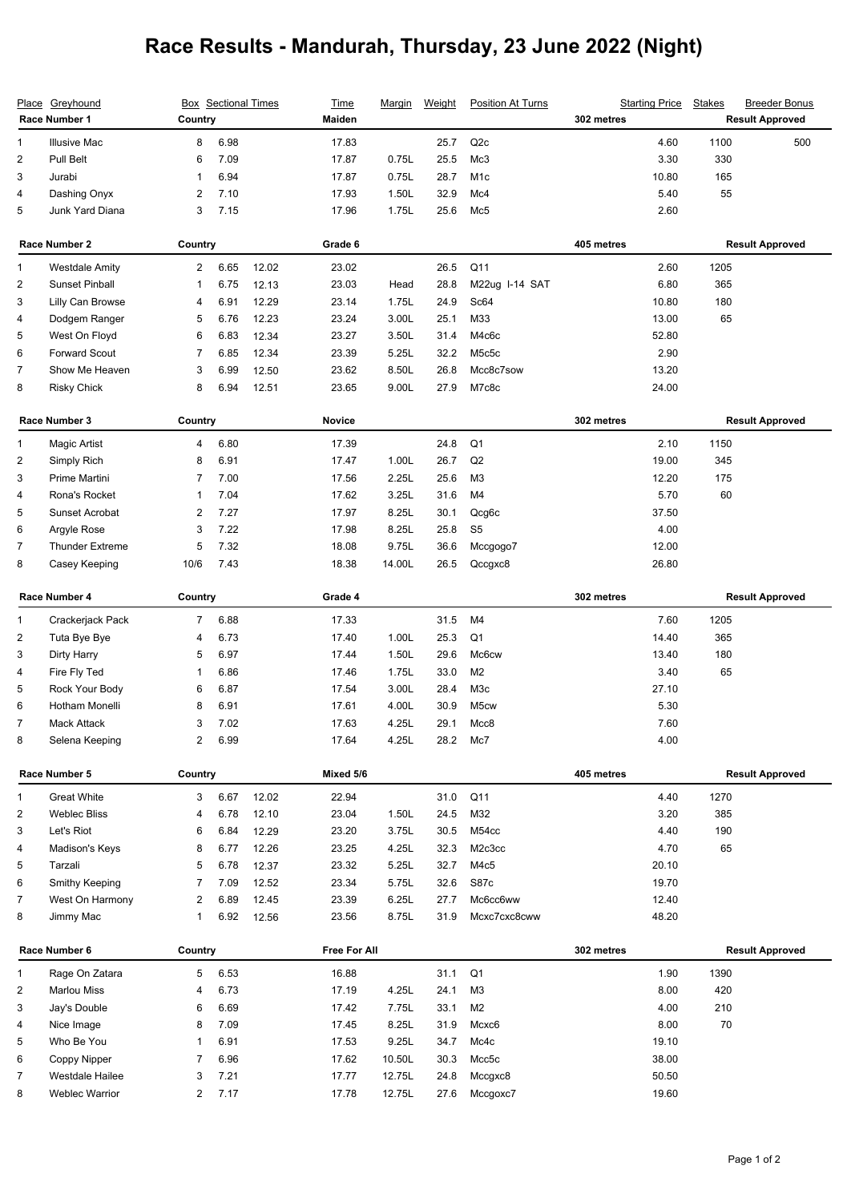## **Race Results - Mandurah, Thursday, 23 June 2022 (Night)**

| <u>Place</u>            | Greyhound<br>Race Number 1 | Country        |         | <b>Box</b> Sectional Times | <b>Time</b><br><b>Maiden</b> | <u>Marqin</u> | Weight | <b>Position At Turns</b> | 302 metres | <b>Starting Price</b> | <b>Stakes</b>          | <b>Breeder Bonus</b><br><b>Result Approved</b> |
|-------------------------|----------------------------|----------------|---------|----------------------------|------------------------------|---------------|--------|--------------------------|------------|-----------------------|------------------------|------------------------------------------------|
| 1                       | <b>Illusive Mac</b>        | 8              | 6.98    |                            | 17.83                        |               | 25.7   | Q2c                      |            | 4.60                  | 1100                   | 500                                            |
| $\overline{c}$          | Pull Belt                  | 6              | 7.09    |                            | 17.87                        | 0.75L         | 25.5   | Mc3                      |            | 3.30                  | 330                    |                                                |
| 3                       | Jurabi                     | 1              | 6.94    |                            | 17.87                        | 0.75L         | 28.7   | M <sub>1</sub> c         |            | 10.80                 | 165                    |                                                |
| 4                       | Dashing Onyx               | 2              | 7.10    |                            | 17.93                        | 1.50L         | 32.9   | Mc4                      |            | 5.40                  | 55                     |                                                |
| 5                       | Junk Yard Diana            | 3              | 7.15    |                            | 17.96                        | 1.75L         | 25.6   | Mc5                      |            | 2.60                  |                        |                                                |
| Race Number 2           |                            |                | Country |                            | Grade 6                      |               |        |                          | 405 metres |                       | <b>Result Approved</b> |                                                |
| 1                       | <b>Westdale Amity</b>      | $\overline{2}$ | 6.65    | 12.02                      | 23.02                        |               | 26.5   | Q <sub>11</sub>          |            | 2.60                  | 1205                   |                                                |
| 2                       | <b>Sunset Pinball</b>      | 1              | 6.75    | 12.13                      | 23.03                        | Head          | 28.8   | M22ug I-14 SAT           |            | 6.80                  | 365                    |                                                |
| 3                       | Lilly Can Browse           | 4              | 6.91    | 12.29                      | 23.14                        | 1.75L         | 24.9   | Sc64                     |            | 10.80                 | 180                    |                                                |
| 4                       | Dodgem Ranger              | 5              | 6.76    | 12.23                      | 23.24                        | 3.00L         | 25.1   | M33                      |            | 13.00                 | 65                     |                                                |
| 5                       | West On Floyd              | 6              | 6.83    | 12.34                      | 23.27                        | 3.50L         | 31.4   | M4c6c                    |            | 52.80                 |                        |                                                |
| 6                       | <b>Forward Scout</b>       | 7              | 6.85    | 12.34                      | 23.39                        | 5.25L         | 32.2   | M5c5c                    |            | 2.90                  |                        |                                                |
| 7                       | Show Me Heaven             | 3              | 6.99    | 12.50                      | 23.62                        | 8.50L         | 26.8   | Mcc8c7sow                |            | 13.20                 |                        |                                                |
| 8                       | <b>Risky Chick</b>         | 8              | 6.94    | 12.51                      | 23.65                        | 9.00L         | 27.9   | M7c8c                    |            | 24.00                 |                        |                                                |
|                         | Race Number 3              |                | Country |                            | <b>Novice</b>                |               |        |                          | 302 metres |                       | <b>Result Approved</b> |                                                |
| 1                       | <b>Magic Artist</b>        | 4              | 6.80    |                            | 17.39                        |               | 24.8   | Q1                       |            | 2.10                  | 1150                   |                                                |
| 2                       | Simply Rich                | 8              | 6.91    |                            | 17.47                        | 1.00L         | 26.7   | Q2                       |            | 19.00                 | 345                    |                                                |
| 3                       | Prime Martini              | 7              | 7.00    |                            | 17.56                        | 2.25L         | 25.6   | M <sub>3</sub>           |            | 12.20                 | 175                    |                                                |
| 4                       | Rona's Rocket              | 1              | 7.04    |                            | 17.62                        | 3.25L         | 31.6   | M4                       |            | 5.70                  | 60                     |                                                |
| 5                       | Sunset Acrobat             | 2              | 7.27    |                            | 17.97                        | 8.25L         | 30.1   | Qcg6c                    |            | 37.50                 |                        |                                                |
| 6                       | Argyle Rose                | 3              | 7.22    |                            | 17.98                        | 8.25L         | 25.8   | S <sub>5</sub>           |            | 4.00                  |                        |                                                |
| $\overline{7}$          | <b>Thunder Extreme</b>     | 5              | 7.32    |                            | 18.08                        | 9.75L         | 36.6   | Mccgogo7                 |            | 12.00                 |                        |                                                |
| 8                       | Casey Keeping              | 10/6           | 7.43    |                            | 18.38                        | 14.00L        | 26.5   | Qccgxc8                  |            | 26.80                 |                        |                                                |
| Race Number 4           |                            | Country        |         | Grade 4                    |                              |               |        | 302 metres               |            |                       | <b>Result Approved</b> |                                                |
| 1                       | Crackerjack Pack           | $\overline{7}$ | 6.88    |                            | 17.33                        |               | 31.5   | M4                       |            | 7.60                  | 1205                   |                                                |
| $\overline{c}$          | Tuta Bye Bye               | 4              | 6.73    |                            | 17.40                        | 1.00L         | 25.3   | Q <sub>1</sub>           |            | 14.40                 | 365                    |                                                |
| 3                       | Dirty Harry                | 5              | 6.97    |                            | 17.44                        | 1.50L         | 29.6   | Mc <sub>6</sub> cw       |            | 13.40                 | 180                    |                                                |
| 4                       | Fire Fly Ted               | 1              | 6.86    |                            | 17.46                        | 1.75L         | 33.0   | M <sub>2</sub>           |            | 3.40                  | 65                     |                                                |
| 5                       | Rock Your Body             | 6              | 6.87    |                            | 17.54                        | 3.00L         | 28.4   | M <sub>3</sub> c         |            | 27.10                 |                        |                                                |
| 6                       | Hotham Monelli             | 8              | 6.91    |                            | 17.61                        | 4.00L         | 30.9   | M <sub>5</sub> cw        |            | 5.30                  |                        |                                                |
| 7                       | Mack Attack                | 3              | 7.02    |                            | 17.63                        | 4.25L         | 29.1   | Mcc8                     |            | 7.60                  |                        |                                                |
| 8                       | Selena Keeping             | 2              | 6.99    |                            | 17.64                        | 4.25L         | 28.2   | Mc7                      |            | 4.00                  |                        |                                                |
| Race Number 5           |                            | Country        |         | Mixed 5/6                  |                              |               |        | 405 metres               |            |                       | <b>Result Approved</b> |                                                |
| 1                       | <b>Great White</b>         | 3              | 6.67    | 12.02                      | 22.94                        |               | 31.0   | Q11                      |            | 4.40                  | 1270                   |                                                |
| $\overline{\mathbf{c}}$ | <b>Weblec Bliss</b>        | 4              | 6.78    | 12.10                      | 23.04                        | 1.50L         | 24.5   | M32                      |            | 3.20                  | 385                    |                                                |
| 3                       | Let's Riot                 | 6              | 6.84    | 12.29                      | 23.20                        | 3.75L         | 30.5   | M54cc                    |            | 4.40                  | 190                    |                                                |
| 4                       | Madison's Keys             | 8              | 6.77    | 12.26                      | 23.25                        | 4.25L         | 32.3   | M2c3cc                   |            | 4.70                  | 65                     |                                                |
| 5                       | Tarzali                    | 5              | 6.78    | 12.37                      | 23.32                        | 5.25L         | 32.7   | M4c5                     |            | 20.10                 |                        |                                                |
| 6                       | Smithy Keeping             | 7              | 7.09    | 12.52                      | 23.34                        | 5.75L         | 32.6   | S87c                     |            | 19.70                 |                        |                                                |
| 7                       | West On Harmony            | 2              | 6.89    | 12.45                      | 23.39                        | 6.25L         | 27.7   | Mc6cc6ww                 |            | 12.40                 |                        |                                                |
| 8                       | Jimmy Mac                  | $\mathbf{1}$   | 6.92    | 12.56                      | 23.56                        | 8.75L         | 31.9   | Mcxc7cxc8cww             |            | 48.20                 |                        |                                                |
| Race Number 6           |                            | Country        |         |                            | Free For All                 |               |        |                          | 302 metres |                       |                        | <b>Result Approved</b>                         |
| 1                       | Rage On Zatara             | 5              | 6.53    |                            | 16.88                        |               | 31.1   | Q <sub>1</sub>           |            | 1.90                  | 1390                   |                                                |
| $\overline{\mathbf{c}}$ | <b>Marlou Miss</b>         | 4              | 6.73    |                            | 17.19                        | 4.25L         | 24.1   | M3                       |            | 8.00                  | 420                    |                                                |
| 3                       | Jay's Double               | 6              | 6.69    |                            | 17.42                        | 7.75L         | 33.1   | M <sub>2</sub>           |            | 4.00                  | 210                    |                                                |
| 4                       | Nice Image                 | 8              | 7.09    |                            | 17.45                        | 8.25L         | 31.9   | Mcxc6                    |            | 8.00                  | 70                     |                                                |
| 5                       | Who Be You                 | 1              | 6.91    |                            | 17.53                        | 9.25L         | 34.7   | Mc4c                     |            | 19.10                 |                        |                                                |
| 6                       | Coppy Nipper               | 7              | 6.96    |                            | 17.62                        | 10.50L        | 30.3   | Mcc5c                    |            | 38.00                 |                        |                                                |
| $\overline{7}$          | Westdale Hailee            | 3              | 7.21    |                            | 17.77                        | 12.75L        | 24.8   | Mccgxc8                  |            | 50.50                 |                        |                                                |
| 8                       | <b>Weblec Warrior</b>      | $\overline{c}$ | 7.17    |                            | 17.78                        | 12.75L        | 27.6   | Mccgoxc7                 |            | 19.60                 |                        |                                                |